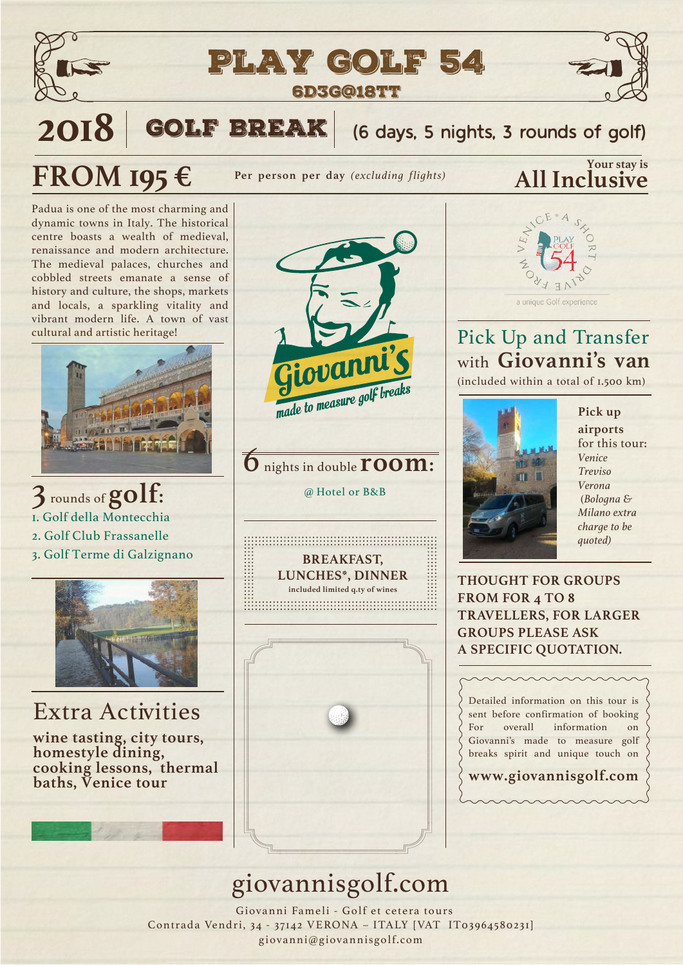



2018 GOLF BREAK (6 days, 5 nights, 3 rounds of golf)

Per person per day *(excluding flights)* **All Inclusive** 

Padua is one of the most charming and dynamic towns in Italy. The historical centre boasts a wealth of medieval, renaissance and modern architecture. The medieval palaces, churches and cobbled streets emanate a sense of history and culture, the shops, markets and locals, a sparkling vitality and vibrant modern life. A town of vast cultural and artistic heritage!

**FROM 195 €** 



3 rounds of **golf:** 1. Golf della Montecchia 2. Golf Club Frassanelle 3. Golf Terme di Galzignano



#### Extra Activities

**wine tasting, city tours, homestyle dining, cooking lessons, thermal baths, Venice tour**



#### $\overline{\mathbf{6}}$  nights in double **room**:

@ Hotel or B&B

**BREAKFAST, LUNCHES\*, DINNER included limited q.ty of wines** 



# **Your stay is**



#### Pick Up and Transfer with **Giovanni's van**

(included within a total of 1.500 km)



**Pick up airports** for this tour: *Venice Treviso Verona* (*Bologna & Milano extra charge to be quoted)*

**THOUGHT FOR GROUPS FROM FOR 4 TO 8 TRAVELLERS, FOR LARGER GROUPS PLEASE ASK A SPECIFIC QUOTATION.**

Detailed information on this tour is sent before confirmation of booking For overall information on Giovanni's made to measure golf breaks spirit and unique touch on

**www.giovannisgolf.com**

## giovannisgolf.com

 Giovanni Fameli - Golf et cetera tours Contrada Vendri, 34 - 37142 VERONA – ITALY [VAT IT03964580231] giovanni@giovannisgolf.com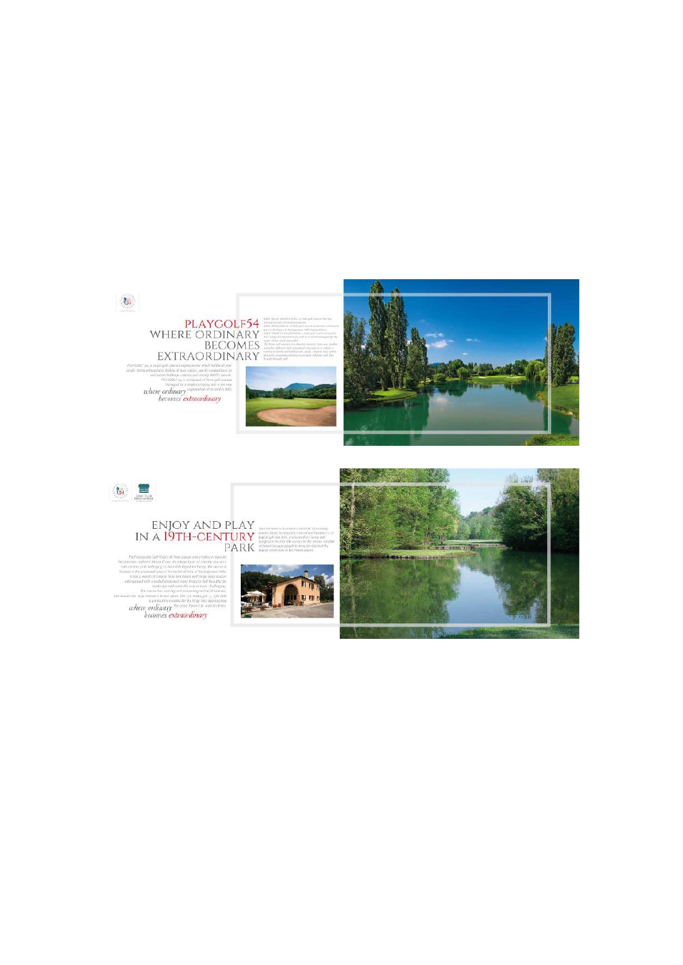



# ENJOY AND PLAY<br>IN A 19TH-CENTURY<br>PARK

 $_{\rm{H82}}$ 



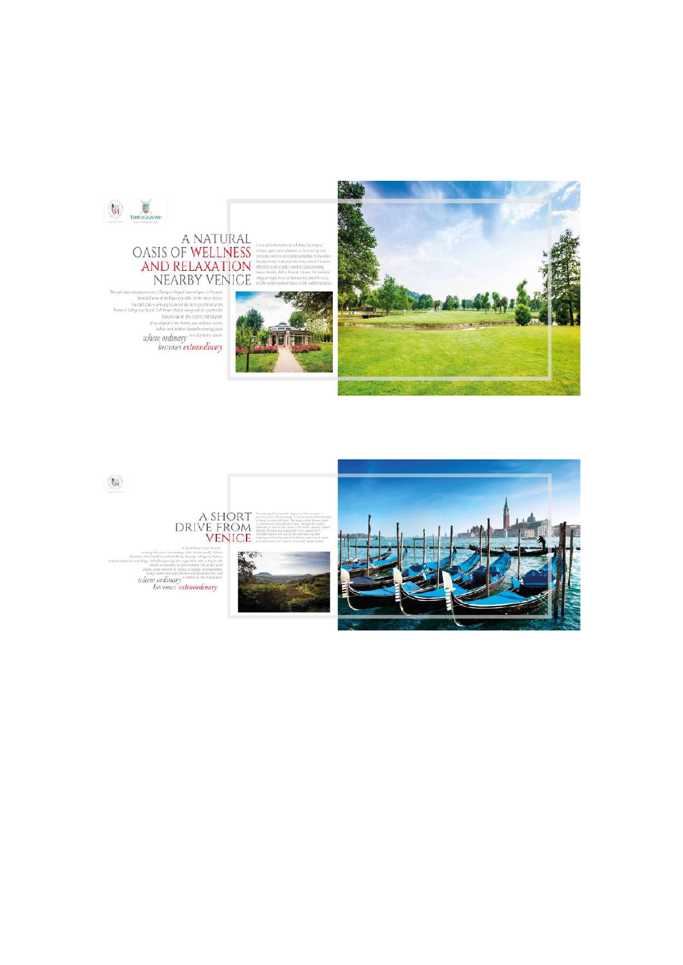

### A NATURAL<br>OASIS OF WELLNESS AND RELAXATION<br>NEARBY VENICE

 $\begin{small} \texttt{in} \emph{isomorphism} \emph{of} \emph{if one of the operator is given by a number of the form of the form in the case. \emph{in} \emph{in} \emph{in} \emph{in} \emph{in} \emph{in} \emph{in} \emph{in} \emph{in} \emph{in} \emph{in} \emph{in} \emph{in} \emph{in} \emph{in} \emph{in} \emph{in} \emph{in} \emph{in} \emph{in} \emph{in} \emph{in} \emph{in} \emph{in} \emph{in} \emph{in} \emph{in} \emph{in} \emph$